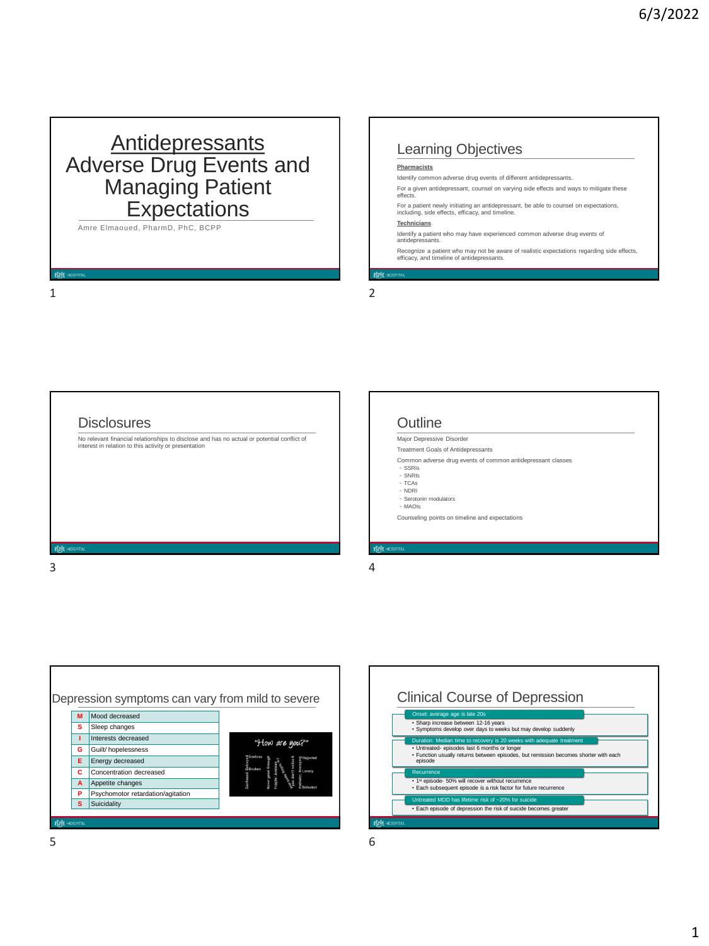## **Antidepressants** Adverse Drug Events and Managing Patient **Expectations**

Amre Elmaoued, PharmD, PhC, BCPP

## Learning Objectives

#### **Pharm**

Identify common adverse drug events of different antidepressants.

For a given antidepressant, counsel on varying side effects and ways to mitigate these effects.

For a patient newly initiating an antidepressant, be able to counsel on expectations, including, side effects, efficacy, and timeline.

#### **Technicians**

Identify a patient who may have experienced common adverse drug events of antidepressants.

Recognize a patient who may not be aware of realistic expectations regarding side effects, efficacy, and timeline of antidepressants.

1 2

**Disclosures** No relevant financial relationships to disclose and has no actual or potential conflict of interest in relation to this activity or presentation **Outline** Major Depressive Disorder Treatment Goals of Antidepressants Common adverse drug events of common antidepressant classes ◦ SSRIs ◦ SNRIs ◦ TCAs ◦ NDRI ◦ Serotonin modulators ◦ MAOIs Counseling points on timeline and expectations  $3 \hspace{2.5cm} 4$ 



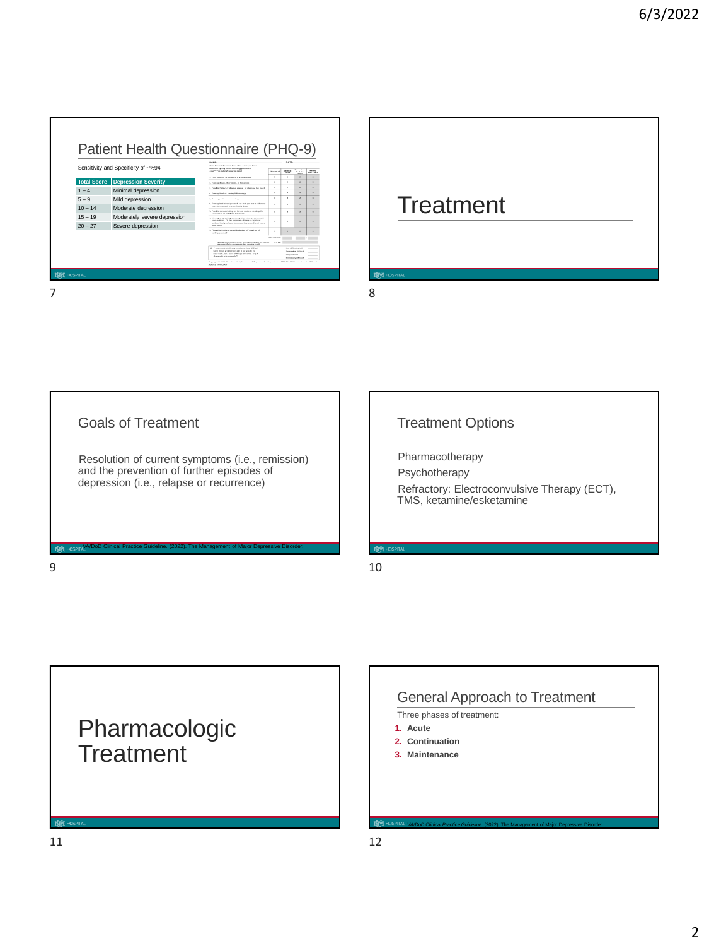## Patient Health Questionnaire (PHQ-9)

|                     | Sensitivity and Specificity of ~%94                                                               | Floor the heat it soughs. Fund other house was fusion<br>kelkered by any of the following problems?<br>Arms "of " he indicate what an exact.                                    | <b>Boot as and</b> | Entrance<br>diam'r. | Mars than<br>hof do<br>diam'r.                              | <b>Black</b><br><b>KINDY BAN</b> |
|---------------------|---------------------------------------------------------------------------------------------------|---------------------------------------------------------------------------------------------------------------------------------------------------------------------------------|--------------------|---------------------|-------------------------------------------------------------|----------------------------------|
|                     |                                                                                                   | 4. L.Mia Informat or pleasure in Aning Wright                                                                                                                                   | $\circ$            |                     | $\rightarrow$                                               | $\mathbf{r}$                     |
| <b>Total Score</b>  | Depression Severity                                                                               | 8. Fosting 4 per, depressed, or hepatens                                                                                                                                        | $\theta$           | ×                   | ٠                                                           |                                  |
| $1 - 4$             | Minimal depression                                                                                | 5. Trouble fatting or streng actions, or steeping too much<br>4. Foxing lead or having little enough                                                                            | $\circ$<br>×       | ٠<br>×              | $\overline{z}$<br>٠                                         | $\rightarrow$<br>٠               |
| $5 - 9$             | Mild depression                                                                                   | A. Press apprehis or expensations                                                                                                                                               | ×                  | ٠                   | ٠                                                           |                                  |
| $10 - 14$           | Moderate depression                                                                               | A. Fooding had about answeall, or that any are a failure or<br>Robert Art Viewmerf or your harrily driver<br>7. Trauble concertaining on things, such as reading the            | $\sim$<br>$\sim$   | ×<br>٠              | $\lambda$<br>٠                                              | ٠                                |
| $15 - 19$           | Moderately severe depression                                                                      | current paper or warmfulne behealtening<br>A Minima or secondal an should that other consist could<br>Future modified. On the cooperation - framing are fluently on             | $\theta$           |                     |                                                             | ٠                                |
| $20 - 27$           | condition that you have keep moving around a lot more.<br>Severe depression<br><b>That should</b> |                                                                                                                                                                                 |                    |                     |                                                             |                                  |
|                     |                                                                                                   | 4. Thoughts that are received a botter of dead, and<br><b><i><u>Banding accounts</u></i></b>                                                                                    | ٠                  |                     | ٠                                                           |                                  |
|                     |                                                                                                   | (Mashhoan professional Par interpretation of TOTAL TOTAL<br>phone rate to accompanying recreas cards                                                                            | add calceless      |                     | ٠                                                           |                                  |
|                     |                                                                                                   | 16. If you checked off any problems, how difficult<br>have those problems reader title you to do<br>when work, bake more of thirds at home, or suit.<br>along with when people? |                    | Van Affraid         | Not defined as an<br>Domandrat (Africa)<br>Esterator misule |                                  |
|                     |                                                                                                   | Consists C 1999 Plan by, All sides exercit. Remained vith economic PRINT-MDC to a milesuit of Plan lay<br>a house to did more                                                   |                    |                     |                                                             |                                  |
| <b>NVI HOSPITAL</b> |                                                                                                   |                                                                                                                                                                                 |                    |                     |                                                             |                                  |
|                     |                                                                                                   |                                                                                                                                                                                 |                    |                     |                                                             |                                  |
|                     |                                                                                                   |                                                                                                                                                                                 |                    |                     |                                                             |                                  |

# **Treatment**

Goals of Treatment

Resolution of current symptoms (i.e., remission) and the prevention of further episodes of depression (i.e., relapse or recurrence)

VA/DoD Clinical Practice Guideline. (2022). The Management of Major Depressive Disorder.

## Treatment Options

Pharmacotherapy

Psychotherapy Refractory: Electroconvulsive Therapy (ECT), TMS, ketamine/esketamine

## $9 \hspace{2.5cm} 10$



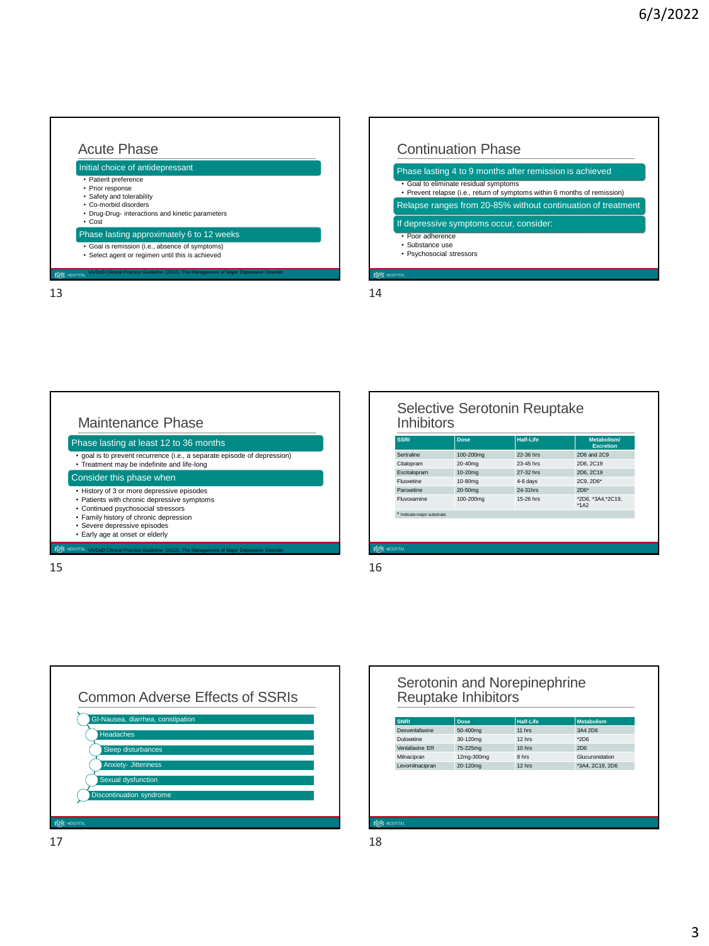



| <b>Continuation Phase</b>                                                                                          |
|--------------------------------------------------------------------------------------------------------------------|
| Phase lasting 4 to 9 months after remission is achieved                                                            |
| • Goal to eliminate residual symptoms<br>• Prevent relapse (i.e., return of symptoms within 6 months of remission) |
| Relapse ranges from 20-85% without continuation of treatment                                                       |
| If depressive symptoms occur, consider:                                                                            |
| • Poor adherence<br>• Substance use<br>• Psychosocial stressors                                                    |



| <b>Inhibitors</b> |      | Selective Serotonin Reuptake |             |
|-------------------|------|------------------------------|-------------|
| <b>SSRI</b>       | Dose | Half-Life                    | Metabolism/ |

| əəri                       | <b>Dose</b> | пан-спе   | <b>Metapolism</b><br><b>Excretion</b> |
|----------------------------|-------------|-----------|---------------------------------------|
| Sertraline                 | 100-200mg   | 22-36 hrs | 2D6 and 2C9                           |
| Citalopram                 | 20-40mg     | 23-45 hrs | 2D6, 2C19                             |
| Escitalopram               | $10-20$ mg  | 27-32 hrs | 2D6, 2C19                             |
| Fluoxetine                 | 10-80mg     | 4-6 days  | 2C9, 2D6*                             |
| Paroxetine                 | 20-50mg     | 24-31hrs  | $2D6*$                                |
| Fluvoxamine                | 100-200mg   | 15-26 hrs | *2D6, *3A4, *2C19,<br>$*1A2$          |
| * Indicate major substrate |             |           |                                       |
|                            |             |           |                                       |
|                            |             |           |                                       |
|                            |             |           |                                       |
| <b>HOSPITAL</b>            |             |           |                                       |





| Desvenlafaxine<br>Duloxetine | 50-400mg   | 11 hrs |                 |
|------------------------------|------------|--------|-----------------|
|                              |            |        | 3A4 2D6         |
|                              | 30-120mg   | 12 hrs | $*2D6$          |
| Venlafaxine ER               | 75-225mg   | 10 hrs | 2D <sub>6</sub> |
| Milnacipran                  | 12mg-300mg | 8 hrs  | Glucuronidation |
| Levomilnacioran              | 20-120mg   | 12 hrs | *3A4, 2C19, 2D6 |
|                              |            |        |                 |
|                              |            |        |                 |
|                              |            |        |                 |
|                              |            |        |                 |
|                              |            |        |                 |
|                              |            |        |                 |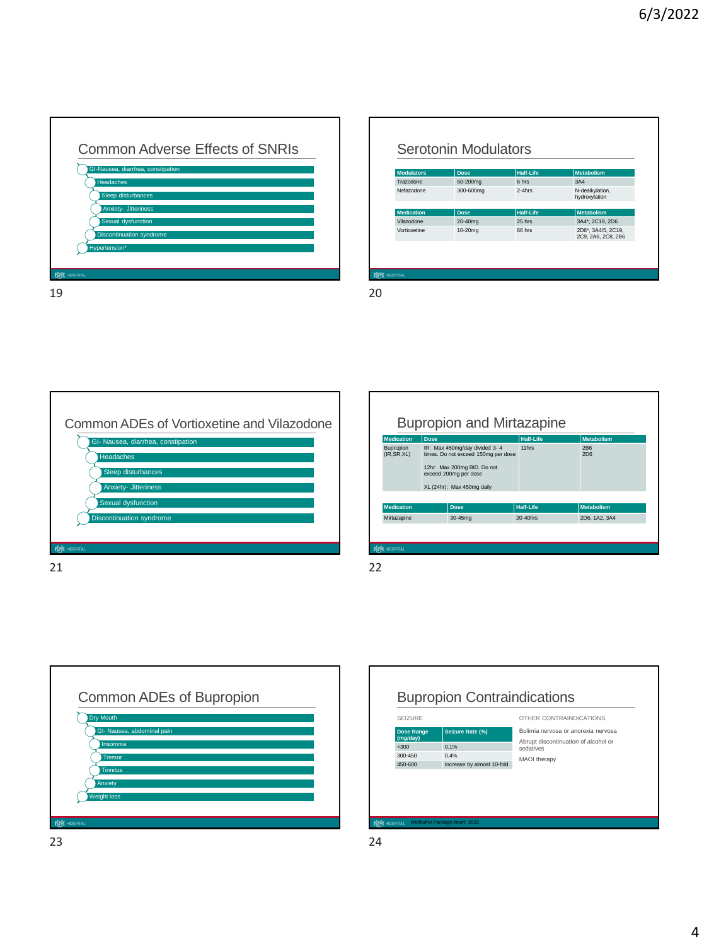

## Serotonin Modulators

| <b>Modulators</b>   | <b>Dose</b> | <b>Half-Life</b> | <b>Metabolism</b>                        |
|---------------------|-------------|------------------|------------------------------------------|
| Trazodone           | 50-200mg    | 6 hrs            | 3A4                                      |
| Nefazodone          | 300-600mg   | $2-4$ hrs        | N-dealkylation,<br>hydroxylation         |
|                     |             |                  |                                          |
| <b>Medication</b>   | <b>Dose</b> | <b>Half-Life</b> | <b>Metabolism</b>                        |
| Vilazodone          | 20-40mg     | 25 hrs           | 3A4*, 2C19, 2D6                          |
| Vortioxetine        | $10-20$ mg  | 66 hrs           | 2D6*, 3A4/5, 2C19,<br>2C9, 2A6, 2C8, 2B6 |
|                     |             |                  |                                          |
|                     |             |                  |                                          |
|                     |             |                  |                                          |
| <b>NNT</b> HOSPITAL |             |                  |                                          |

|                 | GI- Nausea, diarrhea, constipation |  |
|-----------------|------------------------------------|--|
|                 | <b>Headaches</b>                   |  |
|                 | Sleep disturbances                 |  |
|                 | <b>Anxiety- Jitteriness</b>        |  |
|                 | Sexual dysfunction                 |  |
|                 | Discontinuation syndrome           |  |
|                 |                                    |  |
| <b>HOSPITAL</b> |                                    |  |

|                           |             | <b>Bupropion and Mirtazapine</b>                                                                                                                           |                  |                        |
|---------------------------|-------------|------------------------------------------------------------------------------------------------------------------------------------------------------------|------------------|------------------------|
| <b>Medication</b>         | <b>Dose</b> |                                                                                                                                                            | <b>Half-Life</b> | <b>Metabolism</b>      |
| Bupropion<br>(IR, SR, XL) |             | IR: Max 450mg/day divided 3-4<br>times. Do not exceed 150mg per dose<br>12hr: Max 200mg BID. Do not<br>exceed 200mg per dose<br>XL (24hr): Max 450mg daily | 11hrs            | 2 <sub>B6</sub><br>2D6 |
| <b>Medication</b>         |             | Dose                                                                                                                                                       | <b>Half-Life</b> | <b>Metabolism</b>      |
| Mirtazapine               |             | 30-45mg                                                                                                                                                    | $20 - 40$ hrs    | 2D6, 1A2, 3A4          |



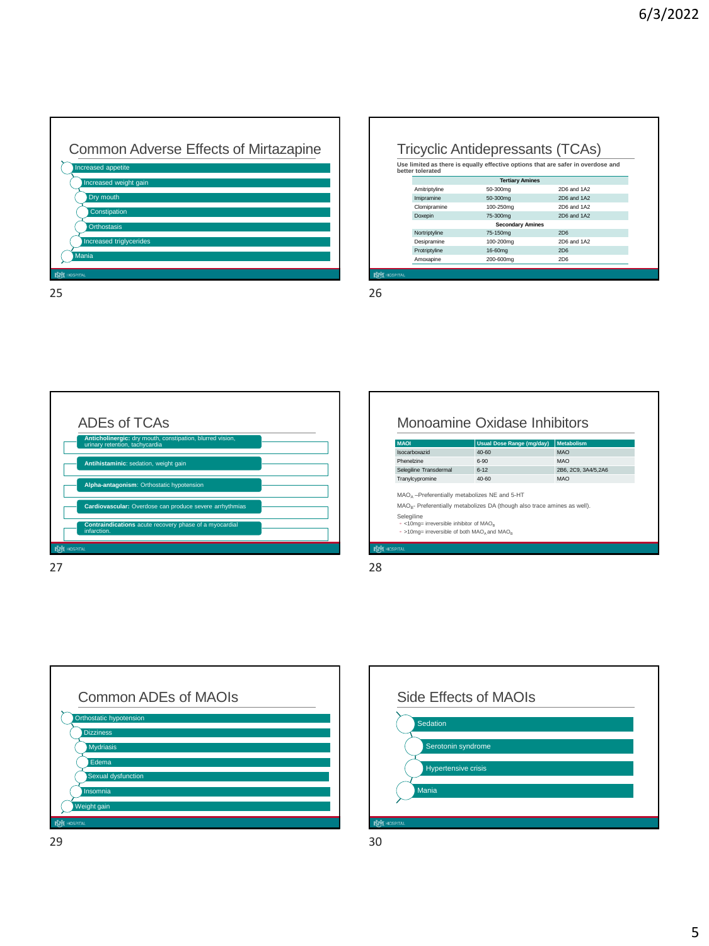٦



|                  |                         | <b>Tricyclic Antidepressants (TCAs)</b>                                          |
|------------------|-------------------------|----------------------------------------------------------------------------------|
| better tolerated |                         | Use limited as there is equally effective options that are safer in overdose and |
|                  | <b>Tertiary Amines</b>  |                                                                                  |
| Amitriptyline    | 50-300mg                | 2D6 and 1A2                                                                      |
| Imipramine       | 50-300mg                | 2D6 and 1A2                                                                      |
| Clomipramine     | 100-250mg               | 2D6 and 1A2                                                                      |
| Doxepin          | 75-300mg                | 2D6 and 1A2                                                                      |
|                  | <b>Secondary Amines</b> |                                                                                  |
| Nortriptyline    | 75-150mg                | 2D6                                                                              |
| Desipramine      | 100-200mg               | 2D6 and 1A2                                                                      |
| Protriptyline    | 16-60mg                 | 2D6                                                                              |
| Amoxapine        | 200-600mg               | 2D6                                                                              |

г



| <b>MAOI</b>                                                               | <b>Usual Dose Range (mg/day)</b>                                           | <b>Metabolism</b>    |
|---------------------------------------------------------------------------|----------------------------------------------------------------------------|----------------------|
| Isocarboxazid                                                             | $40 - 60$                                                                  | <b>MAO</b>           |
| Phenelzine                                                                | $6 - 90$                                                                   | MAO                  |
| Selegiline Transdermal                                                    | $6 - 12$                                                                   | 2B6, 2C9, 3A4/5, 2A6 |
| Tranylcypromine                                                           | $40 - 60$                                                                  | MAO                  |
| Selegiline<br>• <10mg= irreversible inhibitor of MAO <sub>p</sub>         | $MAOB$ - Preferentially metabolizes DA (though also trace amines as well). |                      |
| $\cdot$ >10mg= irreversible of both MAO <sub>A</sub> and MAO <sub>R</sub> |                                                                            |                      |





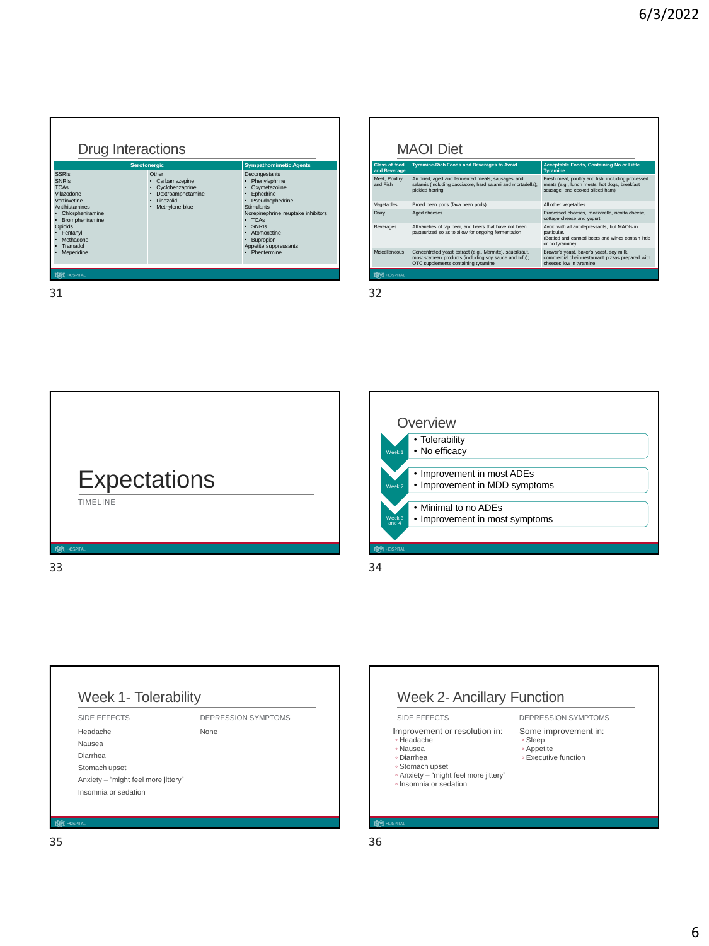|                                      | <b>MAOI</b> Diet                                                                                                                                        |                                                                                                                                       |
|--------------------------------------|---------------------------------------------------------------------------------------------------------------------------------------------------------|---------------------------------------------------------------------------------------------------------------------------------------|
| <b>Class of food</b><br>and Beverage | <b>Tyramine-Rich Foods and Beverages to Avoid</b>                                                                                                       | Acceptable Foods, Containing No or Little<br><b>Tyramine</b>                                                                          |
| Meat, Poultry,<br>and Fish           | Air dried, aged and fermented meats, sausages and<br>salamis (including cacciatore, hard salami and mortadella);<br>pickled herring                     | Fresh meat, poultry and fish, including processed<br>meats (e.g., lunch meats, hot dogs, breakfast<br>sausage, and cooked sliced ham) |
| Vegetables                           | Broad bean pods (fava bean pods)                                                                                                                        | All other vegetables                                                                                                                  |
| Dairy                                | Aged cheeses                                                                                                                                            | Processed cheeses, mozzarella, ricotta cheese,<br>cottage cheese and yogurt                                                           |
| Beverages                            | All varieties of tap beer, and beers that have not been<br>pasteurized so as to allow for ongoing fermentation                                          | Avoid with all antidepressants, but MAOIs in<br>particular.<br>(Bottled and canned beers and wines contain little)<br>or no tvramine) |
| <b>Miscellaneous</b>                 | Concentrated yeast extract (e.g., Marmite), sauerkraut,<br>most soybean products (including soy sauce and tofu);<br>OTC supplements containing tyramine | Brewer's yeast, baker's yeast, soy milk,<br>commercial chain-restaurant pizzas prepared with<br>cheeses low in tyramine               |









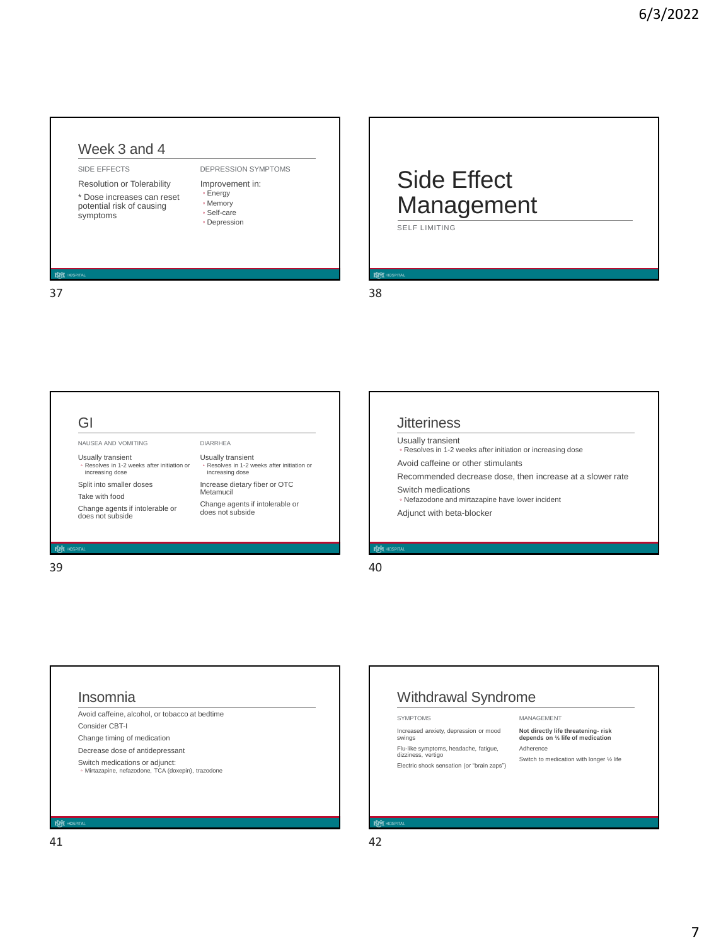### Week 3 and 4

#### SIDE EFFECTS

Resolution or Tolerability \* Dose increases can reset potential risk of causing symptoms

### DEPRESSION SYMPTOMS

Improvement in: ◦ Energy ◦ Memory ◦ Self-care ◦ Depression

## Side Effect Management SELF LIMITING

 $37$   $38$ 



## **Jitteriness**

Usually transient ◦ Resolves in 1-2 weeks after initiation or increasing dose

Avoid caffeine or other stimulants

Recommended decrease dose, then increase at a slower rate Switch medications

◦ Nefazodone and mirtazapine have lower incident

Adjunct with beta-blocker

### Insomnia

Avoid caffeine, alcohol, or tobacco at bedtime Consider CBT-I Change timing of medication Decrease dose of antidepressant

Switch medications or adjunct: ◦ Mirtazapine, nefazodone, TCA (doxepin), trazodone

## Withdrawal Syndrome

SYMPTOMS

Increased anxiety, depression or mood swings

Flu-like symptoms, headache, fatigue, dizziness, vertigo

Electric shock sensation (or "brain zaps")

#### **Not directly life threatening- risk depends on ½ life of medication** Adherence

MANAGEMENT

Switch to medication with longer ½ life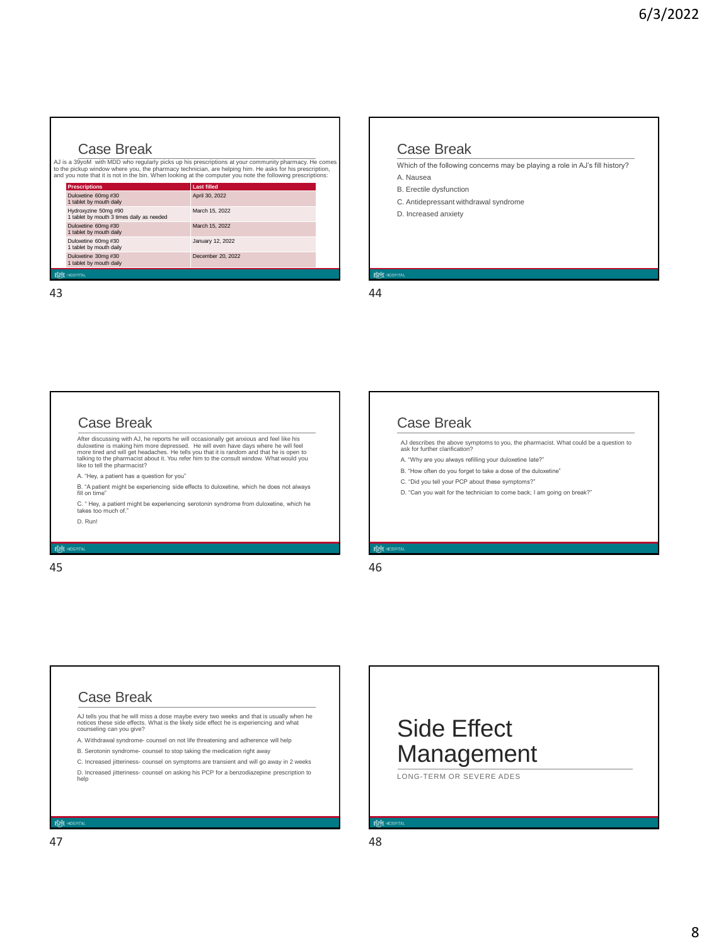### Case Break

AJ is a 39yoM with MDD who regularly picks up his prescriptions at your community pharmacy. He comes<br>to the pickup window where you, the pharmacy technician, are helping him. He asks for his prescription,<br>and you note tha

| <b>Last filled</b> |
|--------------------|
| April 30, 2022     |
| March 15, 2022     |
| March 15, 2022     |
| January 12, 2022   |
| December 20, 2022  |
|                    |

43 44

### Case Break

Which of the following concerns may be playing a role in AJ's fill history? A. Nausea

B. Erectile dysfunction

- C. Antidepressant withdrawal syndrome
- D. Increased anxiety

### Case Break

After discussing with AJ, he reports he will occasionally get anxious and feel like his dulucetine is making him more depressed. He will even more the will feel<br>dulucetine is making him more depressed. He like with a more

A. "Hey, a patient has a question for you"

B. "A patient might be experiencing side effects to duloxetine, which he does not always fill on time"

C. " Hey, a patient might be experiencing serotonin syndrome from duloxetine, which he takes too much of." D. Run!

45 46

## Case Break

AJ describes the above symptoms to you, the pharmacist. What could be a question to ask for further clarification?

- A. "Why are you always refilling your duloxetine late?"
- B. "How often do you forget to take a dose of the duloxetine"
- C. "Did you tell your PCP about these symptoms?"
- D. "Can you wait for the technician to come back; I am going on break?"

## Case Break

AJ tells you that he will miss a dose maybe every two weeks and that is usually when he notices these side effects. What is the likely side effect he is experiencing and what counseling can you give?

A. Withdrawal syndrome- counsel on not life threatening and adherence will help B. Serotonin syndrome- counsel to stop taking the medication right away

C. Increased jitteriness- counsel on symptoms are transient and will go away in 2 weeks

D. Increased jitteriness- counsel on asking his PCP for a benzodiazepine prescription to help

Side Effect Management LONG-TERM OR SEVERE ADES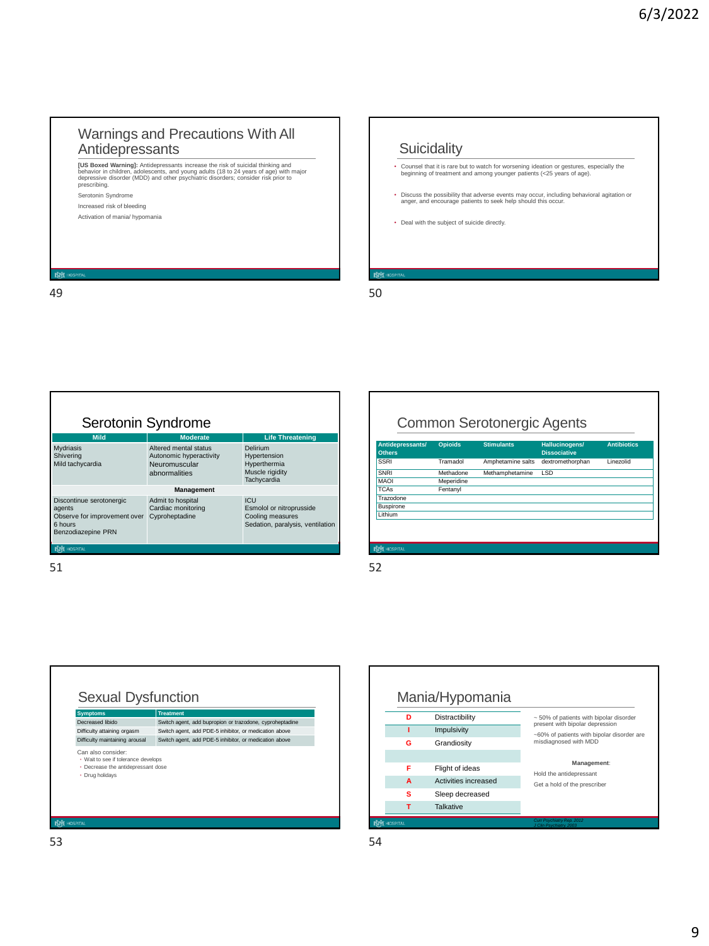## Warnings and Precautions With All Antidepressants

**[US Boxed Warning]:** Antidepressants increase the risk of suicidal thinking and<br>behavior in children, adolescents, and young adults (18 to 24 years of age) with major<br>depressive disorder (MDD) and other psychiatric disord Serotonin Syndrome Increased risk of bleeding Activation of mania/ hypomania

49 50

## **Suicidality** • Counsel that it is rare but to watch for worsening ideation or gestures, especially the beginning of treatment and among younger patients (<25 years of age). • Discuss the possibility that adverse events may occur, including behavioral agitation or anger, and encourage patients to seek help should this occur. • Deal with the subject of suicide directly.



51 52